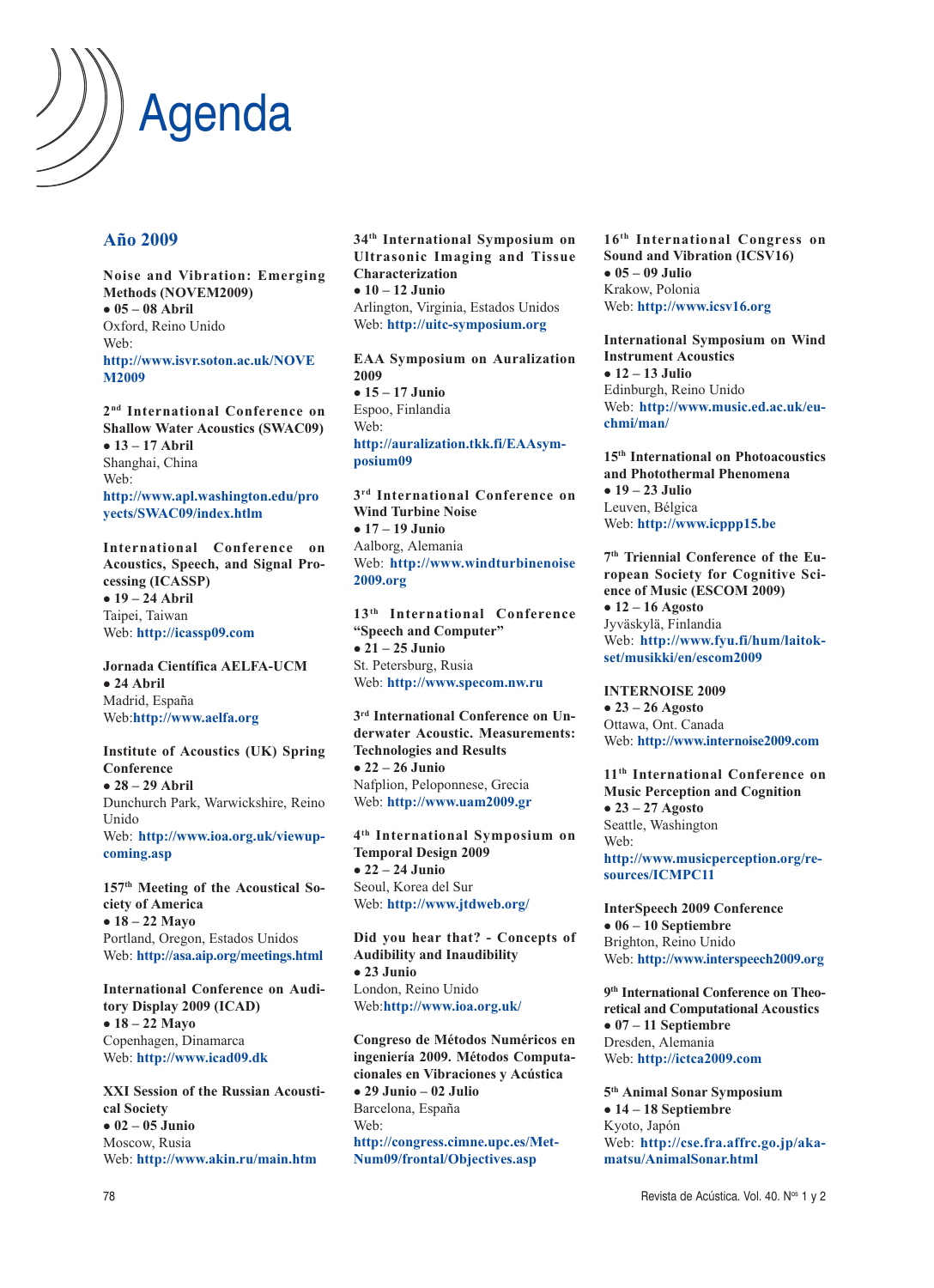

## **Año 2009**

**Noise and Vibration: Emerging Methods (NOVEM2009) 05 – 08 Abril** Oxford, Reino Unido Web: **http://www.isvr.soton.ac.uk/NOVE M2009**

**2nd International Conference on Shallow Water Acoustics (SWAC09) 13 – 17 Abril** Shanghai, China Web: **http://www.apl.washington.edu/pro yects/SWAC09/index.htlm**

**International Conference on Acoustics, Speech, and Signal Processing (ICASSP) 19 – 24 Abril** Taipei, Taiwan Web: **http://icassp09.com**

**Jornada Científica AELFA-UCM 24 Abril** Madrid, España Web:**http://www.aelfa.org**

**Institute of Acoustics (UK) Spring Conference 28 – 29 Abril** Dunchurch Park, Warwickshire, Reino Unido Web: **http://www.ioa.org.uk/viewupcoming.asp**

**157th Meeting of the Acoustical Society of America 18 – 22 Mayo** Portland, Oregon, Estados Unidos Web: **http://asa.aip.org/meetings.html**

**International Conference on Auditory Display 2009 (ICAD) 18 – 22 Mayo** Copenhagen, Dinamarca Web: **http://www.icad09.dk**

**XXI Session of the Russian Acoustical Society 02 – 05 Junio** Moscow, Rusia Web: **http://www.akin.ru/main.htm**

**34th International Symposium on Ultrasonic Imaging and Tissue Characterization 10 – 12 Junio** Arlington, Virginia, Estados Unidos Web: **http://uitc-symposium.org**

**EAA Symposium on Auralization 2009 15 – 17 Junio** Espoo, Finlandia Web: **http://auralization.tkk.fi/EAAsymposium09**

**3rd International Conference on Wind Turbine Noise 17 – 19 Junio** Aalborg, Alemania Web: **http://www.windturbinenoise 2009.org**

**13th International Conference "Speech and Computer" 21 – 25 Junio** St. Petersburg, Rusia Web: **http://www.specom.nw.ru**

**3rd International Conference on Underwater Acoustic. Measurements: Technologies and Results 22 – 26 Junio** Nafplion, Peloponnese, Grecia Web: **http://www.uam2009.gr**

**4th International Symposium on Temporal Design 2009 22 – 24 Junio** Seoul, Korea del Sur Web: **http://www.jtdweb.org/**

**Did you hear that? - Concepts of Audibility and Inaudibility 23 Junio** London, Reino Unido Web:**http://www.ioa.org.uk/**

**Congreso de Métodos Numéricos en ingeniería 2009. Métodos Computacionales en Vibraciones y Acústica 29 Junio – 02 Julio** Barcelona, España Web: **http://congress.cimne.upc.es/Met-Num09/frontal/Objectives.asp**

**16th International Congress on Sound and Vibration (ICSV16) 05 – 09 Julio** Krakow, Polonia Web: **http://www.icsv16.org**

**International Symposium on Wind Instrument Acoustics 12 – 13 Julio** Edinburgh, Reino Unido Web: **http://www.music.ed.ac.uk/euchmi/man/**

**15th International on Photoacoustics and Photothermal Phenomena 19 – 23 Julio** Leuven, Bélgica Web: **http://www.icppp15.be**

**7th Triennial Conference of the European Society for Cognitive Science of Music (ESCOM 2009) 12 – 16 Agosto** Jyväskylä, Finlandia Web: **http://www.fyu.fi/hum/laitokset/musikki/en/escom2009**

**INTERNOISE 2009 23 – 26 Agosto** Ottawa, Ont. Canada Web: **http://www.internoise2009.com**

**11th International Conference on Music Perception and Cognition 23 – 27 Agosto** Seattle, Washington Web: **http://www.musicperception.org/resources/ICMPC11**

**InterSpeech 2009 Conference 06 – 10 Septiembre** Brighton, Reino Unido Web: **http://www.interspeech2009.org**

**9th International Conference on Theoretical and Computational Acoustics 07 – 11 Septiembre** Dresden, Alemania Web: **http://ictca2009.com**

**5th Animal Sonar Symposium 14 – 18 Septiembre** Kyoto, Japón Web: **http://cse.fra.affrc.go.jp/akamatsu/AnimalSonar.html**